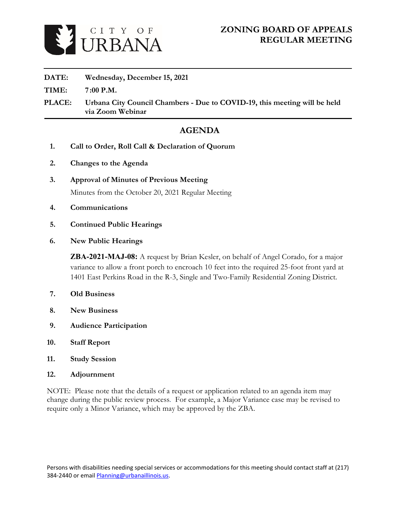

### **DATE: Wednesday, December 15, 2021**

**TIME: 7 :00 P.M.**

**PLACE: Urbana City Council Chambers - Due to COVID-19, this meeting will be held via Zoom Webinar**

## **AGENDA**

- **1. Call to Order, Roll Call & Declaration of Quorum**
- **2. Changes to the Agenda**
- **3. Approval of Minutes of Previous Meeting** [Minutes from the October 20, 2021 Regular Meeting](https://www.urbanaillinois.us/sites/default/files/attachments/02%20-%20DRAFT%20Meeting%20Minutes%20-%2008-09-2018_0.pdf)
- **4. Communications**
- **5. Continued Public Hearings**
- **6. New Public Hearings**

**ZBA-2021-MAJ-08:** A request by Brian Kesler, on behalf of Angel Corado, for a major variance to allow a front porch to encroach 10 feet into the required 25-foot front yard at 1401 East Perkins Road in the R-3, Single and Two-Family Residential Zoning District.

- **7. Old Business**
- **8. New Business**
- **9. Audience Participation**
- **10. Staff Report**
- **11. Study Session**
- **12. Adjournment**

NOTE: Please note that the details of a request or application related to an agenda item may change during the public review process. For example, a Major Variance case may be revised to require only a Minor Variance, which may be approved by the ZBA.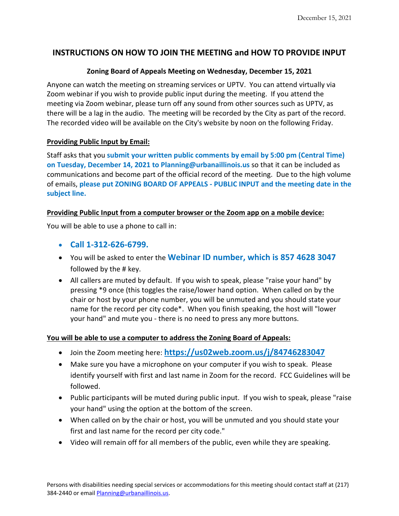### **INSTRUCTIONS ON HOW TO JOIN THE MEETING and HOW TO PROVIDE INPUT**

### **Zoning Board of Appeals Meeting on Wednesday, December 15, 2021**

Anyone can watch the meeting on streaming services or UPTV. You can attend virtually via Zoom webinar if you wish to provide public input during the meeting. If you attend the meeting via Zoom webinar, please turn off any sound from other sources such as UPTV, as there will be a lag in the audio. The meeting will be recorded by the City as part of the record. The recorded video will be available on the City's website by noon on the following Friday.

### **Providing Public Input by Email:**

Staff asks that you **submit your written public comments by email by 5:00 pm (Central Time) on Tuesday, December 14, 2021 to Planning@urbanaillinois.us** so that it can be included as communications and become part of the official record of the meeting. Due to the high volume of emails, **please put ZONING BOARD OF APPEALS - PUBLIC INPUT and the meeting date in the subject line.**

### **Providing Public Input from a computer browser or the Zoom app on a mobile device:**

You will be able to use a phone to call in:

- **Call 1-312-626-6799.**
- You will be asked to enter the **Webinar ID number, which is 857 4628 3047** followed by the # key.
- All callers are muted by default. If you wish to speak, please "raise your hand" by pressing \*9 once (this toggles the raise/lower hand option. When called on by the chair or host by your phone number, you will be unmuted and you should state your name for the record per city code\*. When you finish speaking, the host will "lower your hand" and mute you - there is no need to press any more buttons.

### **You will be able to use a computer to address the Zoning Board of Appeals:**

- Join the Zoom meeting here: **<https://us02web.zoom.us/j/84746283047>**
- Make sure you have a microphone on your computer if you wish to speak. Please identify yourself with first and last name in Zoom for the record. FCC Guidelines will be followed.
- Public participants will be muted during public input. If you wish to speak, please "raise your hand" using the option at the bottom of the screen.
- When called on by the chair or host, you will be unmuted and you should state your first and last name for the record per city code."
- Video will remain off for all members of the public, even while they are speaking.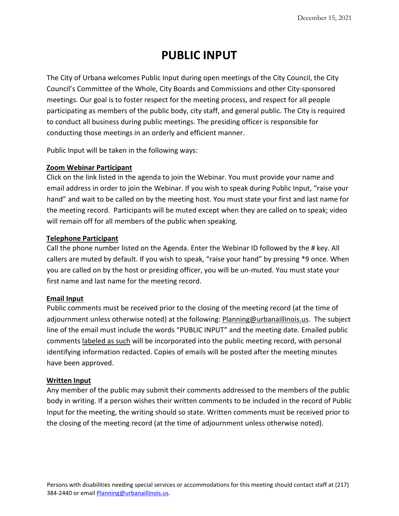# **PUBLIC INPUT**

The City of Urbana welcomes Public Input during open meetings of the City Council, the City Council's Committee of the Whole, City Boards and Commissions and other City-sponsored meetings. Our goal is to foster respect for the meeting process, and respect for all people participating as members of the public body, city staff, and general public. The City is required to conduct all business during public meetings. The presiding officer is responsible for conducting those meetings in an orderly and efficient manner.

Public Input will be taken in the following ways:

### **Zoom Webinar Participant**

Click on the link listed in the agenda to join the Webinar. You must provide your name and email address in order to join the Webinar. If you wish to speak during Public Input, "raise your hand" and wait to be called on by the meeting host. You must state your first and last name for the meeting record. Participants will be muted except when they are called on to speak; video will remain off for all members of the public when speaking.

### **Telephone Participant**

Call the phone number listed on the Agenda. Enter the Webinar ID followed by the # key. All callers are muted by default. If you wish to speak, "raise your hand" by pressing \*9 once. When you are called on by the host or presiding officer, you will be un-muted. You must state your first name and last name for the meeting record.

### **Email Input**

Public comments must be received prior to the closing of the meeting record (at the time of adjournment unless otherwise noted) at the following: Planning@urbanaillinois.us. The subject line of the email must include the words "PUBLIC INPUT" and the meeting date. Emailed public comments labeled as such will be incorporated into the public meeting record, with personal identifying information redacted. Copies of emails will be posted after the meeting minutes have been approved.

#### **Written Input**

Any member of the public may submit their comments addressed to the members of the public body in writing. If a person wishes their written comments to be included in the record of Public Input for the meeting, the writing should so state. Written comments must be received prior to the closing of the meeting record (at the time of adjournment unless otherwise noted).